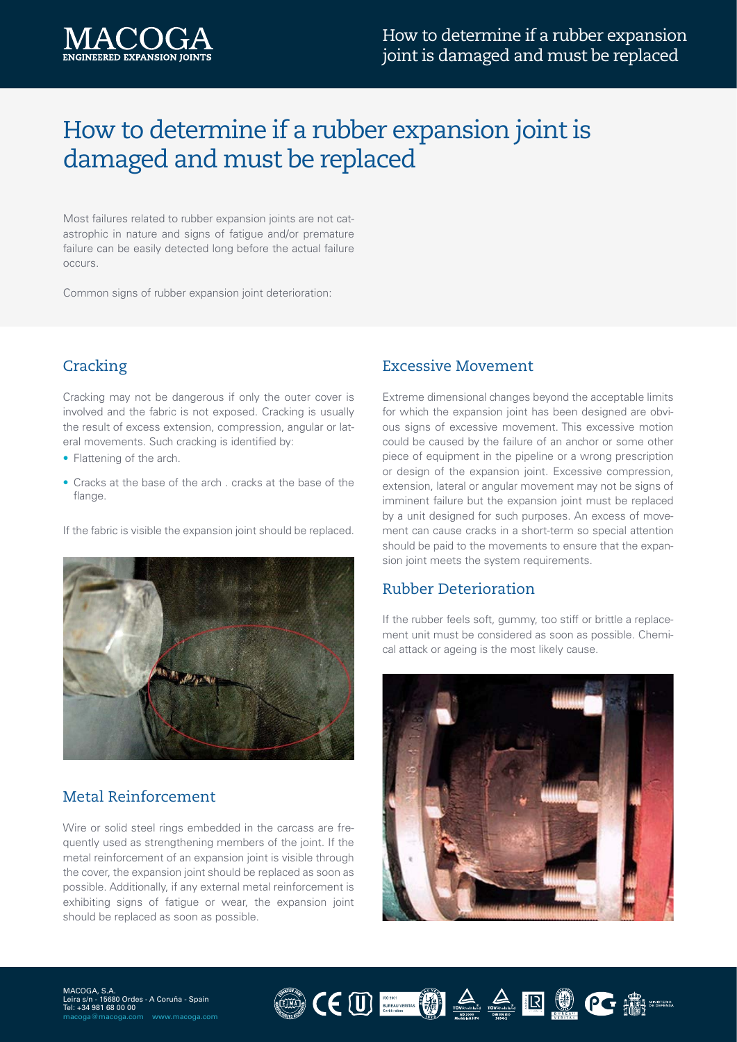# How to determine if a rubber expansion joint is damaged and must be replaced

Most failures related to rubber expansion joints are not catastrophic in nature and signs of fatigue and/or premature failure can be easily detected long before the actual failure occurs.

Common signs of rubber expansion joint deterioration:

# **Cracking**

Cracking may not be dangerous if only the outer cover is involved and the fabric is not exposed. Cracking is usually the result of excess extension, compression, angular or lateral movements. Such cracking is identified by:

- Flattening of the arch.
- Cracks at the base of the arch . cracks at the base of the flange.

If the fabric is visible the expansion joint should be replaced.



# Metal Reinforcement

Wire or solid steel rings embedded in the carcass are frequently used as strengthening members of the joint. If the metal reinforcement of an expansion joint is visible through the cover, the expansion joint should be replaced as soon as possible. Additionally, if any external metal reinforcement is exhibiting signs of fatigue or wear, the expansion joint should be replaced as soon as possible.

#### Excessive Movement

Extreme dimensional changes beyond the acceptable limits for which the expansion joint has been designed are obvious signs of excessive movement. This excessive motion could be caused by the failure of an anchor or some other piece of equipment in the pipeline or a wrong prescription or design of the expansion joint. Excessive compression, extension, lateral or angular movement may not be signs of imminent failure but the expansion joint must be replaced by a unit designed for such purposes. An excess of movement can cause cracks in a short-term so special attention should be paid to the movements to ensure that the expansion joint meets the system requirements.

#### Rubber Deterioration

If the rubber feels soft, gummy, too stiff or brittle a replacement unit must be considered as soon as possible. Chemical attack or ageing is the most likely cause.



OCUER DA ARRIVER

MACOGA, S.A. Leira s/n - 15680 Ordes - A Coruña - Spain Tel: +34 981 68 00 00 macoga@macoga.com www.macoga.com